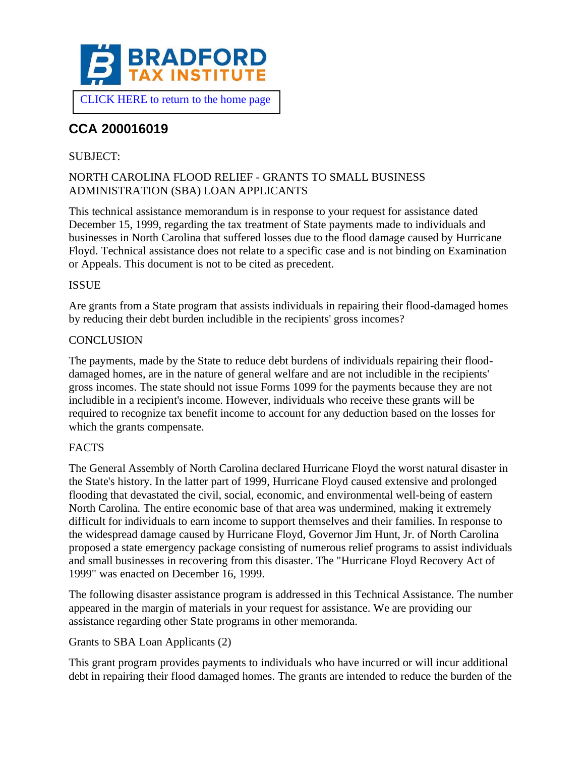

# **CCA 200016019**

# SUBJECT:

# NORTH CAROLINA FLOOD RELIEF - GRANTS TO SMALL BUSINESS ADMINISTRATION (SBA) LOAN APPLICANTS

This technical assistance memorandum is in response to your request for assistance dated December 15, 1999, regarding the tax treatment of State payments made to individuals and businesses in North Carolina that suffered losses due to the flood damage caused by Hurricane Floyd. Technical assistance does not relate to a specific case and is not binding on Examination or Appeals. This document is not to be cited as precedent.

#### ISSUE

Are grants from a State program that assists individuals in repairing their flood-damaged homes by reducing their debt burden includible in the recipients' gross incomes?

#### **CONCLUSION**

The payments, made by the State to reduce debt burdens of individuals repairing their flooddamaged homes, are in the nature of general welfare and are not includible in the recipients' gross incomes. The state should not issue Forms 1099 for the payments because they are not includible in a recipient's income. However, individuals who receive these grants will be required to recognize tax benefit income to account for any deduction based on the losses for which the grants compensate.

#### FACTS

The General Assembly of North Carolina declared Hurricane Floyd the worst natural disaster in the State's history. In the latter part of 1999, Hurricane Floyd caused extensive and prolonged flooding that devastated the civil, social, economic, and environmental well-being of eastern North Carolina. The entire economic base of that area was undermined, making it extremely difficult for individuals to earn income to support themselves and their families. In response to the widespread damage caused by Hurricane Floyd, Governor Jim Hunt, Jr. of North Carolina proposed a state emergency package consisting of numerous relief programs to assist individuals and small businesses in recovering from this disaster. The "Hurricane Floyd Recovery Act of 1999" was enacted on December 16, 1999.

The following disaster assistance program is addressed in this Technical Assistance. The number appeared in the margin of materials in your request for assistance. We are providing our assistance regarding other State programs in other memoranda.

# Grants to SBA Loan Applicants (2)

This grant program provides payments to individuals who have incurred or will incur additional debt in repairing their flood damaged homes. The grants are intended to reduce the burden of the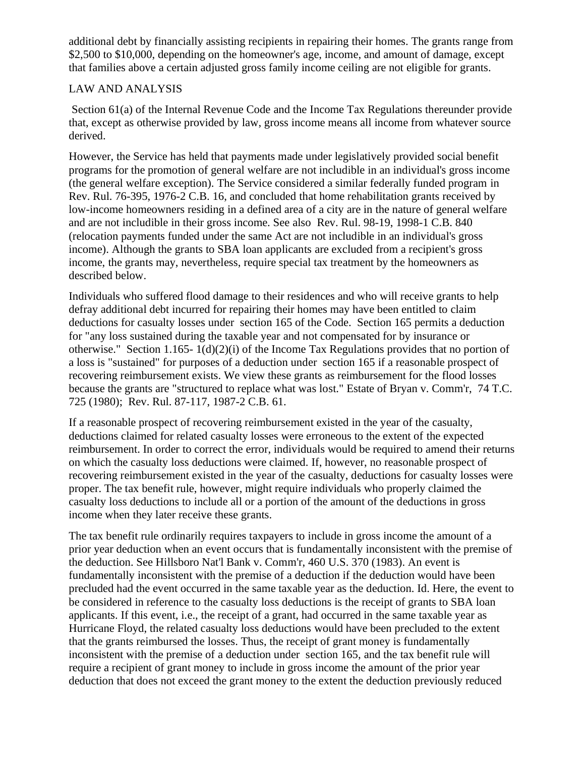additional debt by financially assisting recipients in repairing their homes. The grants range from \$2,500 to \$10,000, depending on the homeowner's age, income, and amount of damage, except that families above a certain adjusted gross family income ceiling are not eligible for grants.

# LAW AND ANALYSIS

Section 61(a) of the Internal Revenue Code and the Income Tax Regulations thereunder provide that, except as otherwise provided by law, gross income means all income from whatever source derived.

However, the Service has held that payments made under legislatively provided social benefit programs for the promotion of general welfare are not includible in an individual's gross income (the general welfare exception). The Service considered a similar federally funded program in Rev. Rul. 76-395, 1976-2 C.B. 16, and concluded that home rehabilitation grants received by low-income homeowners residing in a defined area of a city are in the nature of general welfare and are not includible in their gross income. See also Rev. Rul. 98-19, 1998-1 C.B. 840 (relocation payments funded under the same Act are not includible in an individual's gross income). Although the grants to SBA loan applicants are excluded from a recipient's gross income, the grants may, nevertheless, require special tax treatment by the homeowners as described below.

Individuals who suffered flood damage to their residences and who will receive grants to help defray additional debt incurred for repairing their homes may have been entitled to claim deductions for casualty losses under section 165 of the Code. Section 165 permits a deduction for "any loss sustained during the taxable year and not compensated for by insurance or otherwise." Section 1.165-1(d)(2)(i) of the Income Tax Regulations provides that no portion of a loss is "sustained" for purposes of a deduction under section 165 if a reasonable prospect of recovering reimbursement exists. We view these grants as reimbursement for the flood losses because the grants are "structured to replace what was lost." Estate of Bryan v. Comm'r, 74 T.C. 725 (1980); Rev. Rul. 87-117, 1987-2 C.B. 61.

If a reasonable prospect of recovering reimbursement existed in the year of the casualty, deductions claimed for related casualty losses were erroneous to the extent of the expected reimbursement. In order to correct the error, individuals would be required to amend their returns on which the casualty loss deductions were claimed. If, however, no reasonable prospect of recovering reimbursement existed in the year of the casualty, deductions for casualty losses were proper. The tax benefit rule, however, might require individuals who properly claimed the casualty loss deductions to include all or a portion of the amount of the deductions in gross income when they later receive these grants.

The tax benefit rule ordinarily requires taxpayers to include in gross income the amount of a prior year deduction when an event occurs that is fundamentally inconsistent with the premise of the deduction. See Hillsboro Nat'l Bank v. Comm'r, 460 U.S. 370 (1983). An event is fundamentally inconsistent with the premise of a deduction if the deduction would have been precluded had the event occurred in the same taxable year as the deduction. Id. Here, the event to be considered in reference to the casualty loss deductions is the receipt of grants to SBA loan applicants. If this event, i.e., the receipt of a grant, had occurred in the same taxable year as Hurricane Floyd, the related casualty loss deductions would have been precluded to the extent that the grants reimbursed the losses. Thus, the receipt of grant money is fundamentally inconsistent with the premise of a deduction under section 165, and the tax benefit rule will require a recipient of grant money to include in gross income the amount of the prior year deduction that does not exceed the grant money to the extent the deduction previously reduced